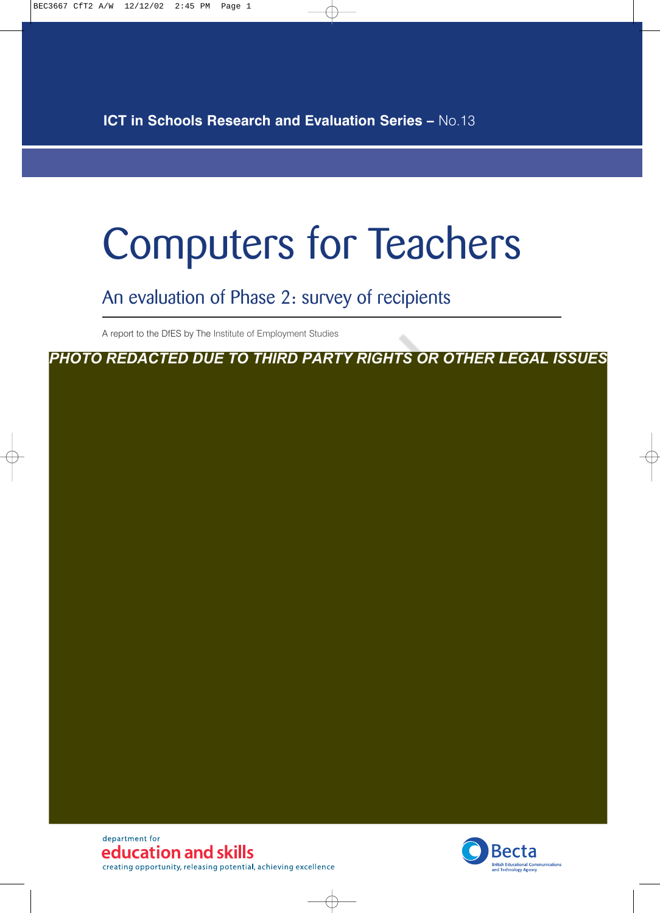**ICT in Schools Research and Evaluation Series –** No.13

# Computers for Teachers

An evaluation of Phase 2: survey of recipients

A report to the DfES by The Institute of Employment Studies

*PHOTO REDACTED DUE TO THIRD PARTY RIGHTS OR OTHER LEGAL ISSUES*

department for education and skills creating opportunity, releasing potential, achieving excellence

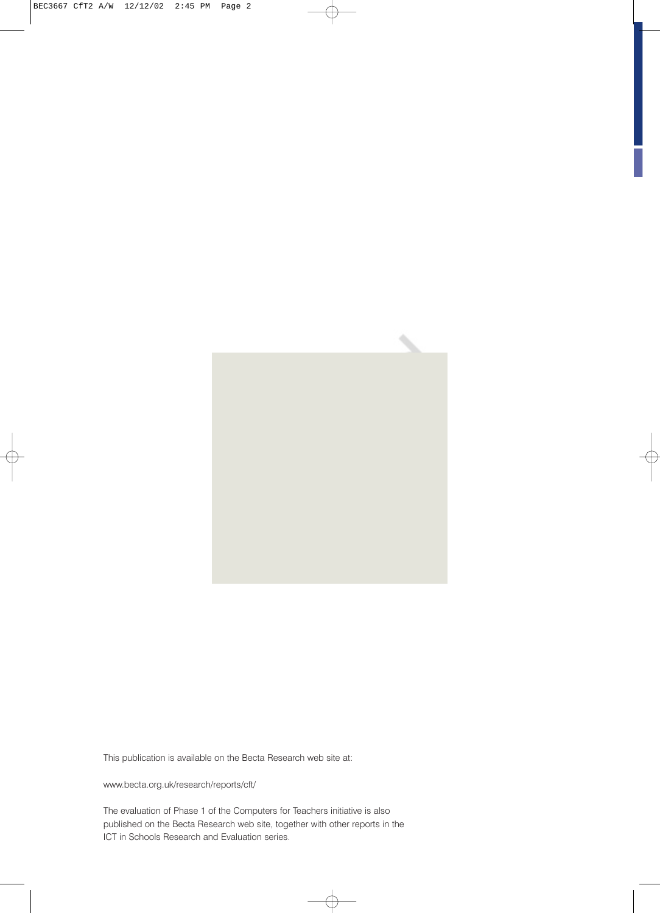

 $\oplus$ 

 $\bigoplus$ 

This publication is available on the Becta Research web site at:

www.becta.org.uk/research/reports/cft/

The evaluation of Phase 1 of the Computers for Teachers initiative is also published on the Becta Research web site, together with other reports in the ICT in Schools Research and Evaluation series.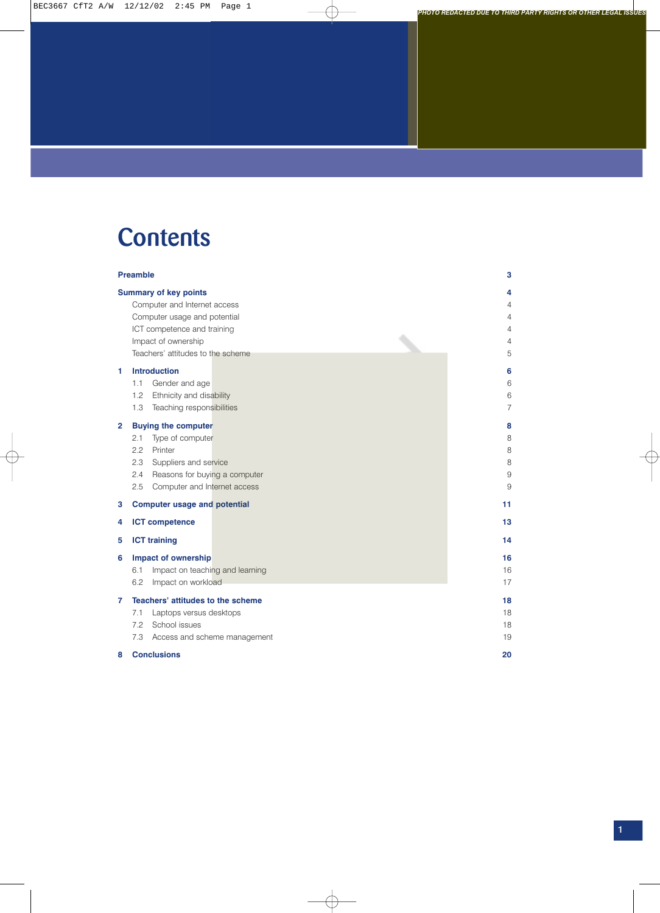### **Contents**

|              | <b>Preamble</b>                                                                                                                                                                         | 3                              |
|--------------|-----------------------------------------------------------------------------------------------------------------------------------------------------------------------------------------|--------------------------------|
|              | <b>Summary of key points</b><br>Computer and Internet access<br>Computer usage and potential<br>ICT competence and training<br>Impact of ownership<br>Teachers' attitudes to the scheme | 4<br>4<br>4<br>4<br>4<br>5     |
| 1            | <b>Introduction</b><br>Gender and age<br>1.1<br>Ethnicity and disability<br>1.2<br>Teaching responsibilities<br>1.3                                                                     | 6<br>6<br>6<br>$\overline{7}$  |
| $\mathbf{2}$ | <b>Buying the computer</b><br>Type of computer<br>2.1<br>2.2<br>Printer<br>2.3<br>Suppliers and service<br>Reasons for buying a computer<br>2.4<br>Computer and Internet access<br>2.5  | 8<br>8<br>8<br>8<br>$9\,$<br>9 |
| 3            | <b>Computer usage and potential</b>                                                                                                                                                     | 11                             |
| 4            | <b>ICT</b> competence                                                                                                                                                                   | 13                             |
| 5            | <b>ICT training</b>                                                                                                                                                                     | 14                             |
| 6            | <b>Impact of ownership</b><br>Impact on teaching and learning<br>6.1<br>6.2<br>Impact on workload                                                                                       | 16<br>16<br>17                 |
| 7            | Teachers' attitudes to the scheme<br>7.1<br>Laptops versus desktops<br>School issues<br>7.2<br>7.3<br>Access and scheme management                                                      | 18<br>18<br>18<br>19           |
| 8            | <b>Conclusions</b>                                                                                                                                                                      | 20                             |

 $\overline{\oplus}$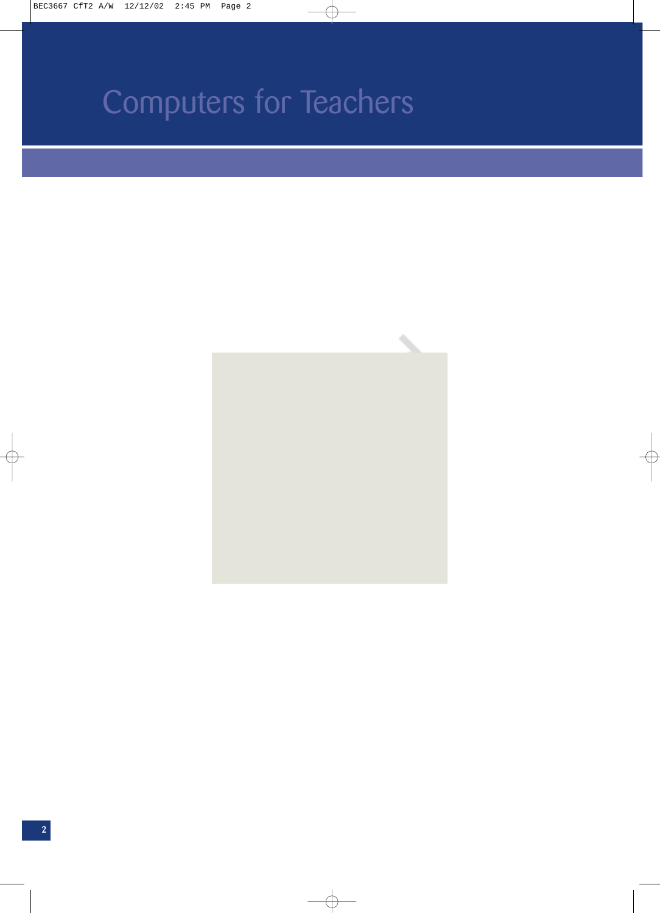

 $\overline{\bigoplus}$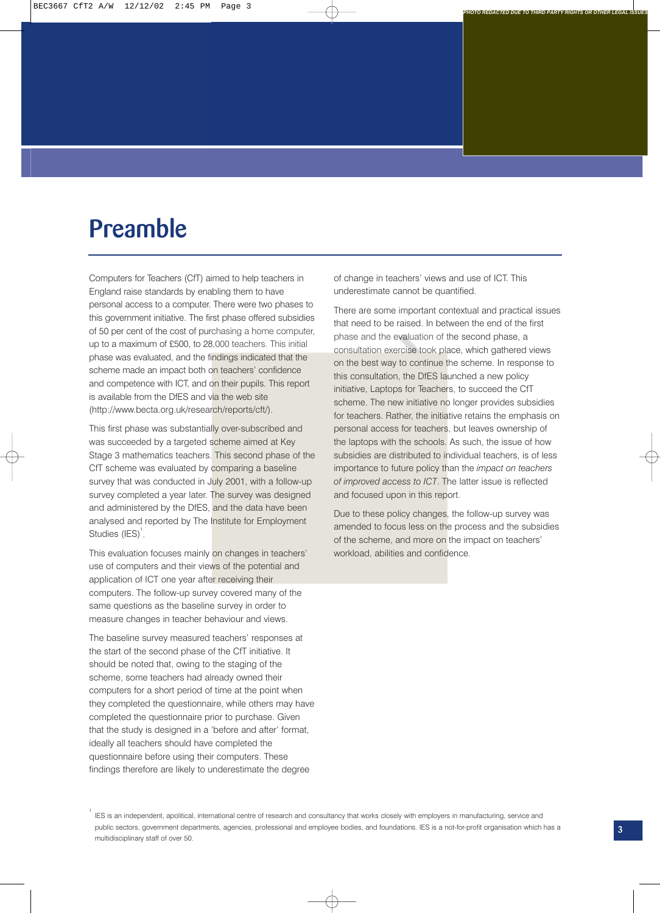### **Preamble**

Computers for Teachers (CfT) aimed to help teachers in England raise standards by enabling them to have personal access to a computer. There were two phases to this government initiative. The first phase offered subsidies of 50 per cent of the cost of purchasing a home computer, up to a maximum of £500, to 28,000 teachers. This initial phase was evaluated, and the findings indicated that the scheme made an impact both on teachers' confidence and competence with ICT, and on their pupils. This report is available from the DfES and via the web site (http://www.becta.org.uk/research/reports/cft/).

This first phase was substantially over-subscribed and was succeeded by a targeted scheme aimed at Key Stage 3 mathematics teachers. This second phase of the CfT scheme was evaluated by comparing a baseline survey that was conducted in July 2001, with a follow-up survey completed a year later. The survey was designed and administered by the DfES, and the data have been analysed and reported by The Institute for Employment Studies  $(IES)^1$ .

This evaluation focuses mainly on changes in teachers' use of computers and their views of the potential and application of ICT one year after receiving their computers. The follow-up survey covered many of the same questions as the baseline survey in order to measure changes in teacher behaviour and views.

The baseline survey measured teachers' responses at the start of the second phase of the CfT initiative. It should be noted that, owing to the staging of the scheme, some teachers had already owned their computers for a short period of time at the point when they completed the questionnaire, while others may have completed the questionnaire prior to purchase. Given that the study is designed in a 'before and after' format, ideally all teachers should have completed the questionnaire before using their computers. These findings therefore are likely to underestimate the degree

of change in teachers' views and use of ICT. This underestimate cannot be quantified.

There are some important contextual and practical issues that need to be raised. In between the end of the first phase and the evaluation of the second phase, a consultation exercise took place, which gathered views on the best way to continue the scheme. In response to this consultation, the DfES launched a new policy initiative, Laptops for Teachers, to succeed the CfT scheme. The new initiative no longer provides subsidies for teachers. Rather, the initiative retains the emphasis on personal access for teachers, but leaves ownership of the laptops with the schools. As such, the issue of how subsidies are distributed to individual teachers, is of less importance to future policy than the *impact on teachers of improved access to ICT*. The latter issue is reflected and focused upon in this report.

Due to these policy changes, the follow-up survey was amended to focus less on the process and the subsidies of the scheme, and more on the impact on teachers' workload, abilities and confidence.

1 IES is an independent, apolitical, international centre of research and consultancy that works closely with employers in manufacturing, service and public sectors, government departments, agencies, professional and employee bodies, and foundations. IES is a not-for-profit organisation which has a multidisciplinary staff of over 50.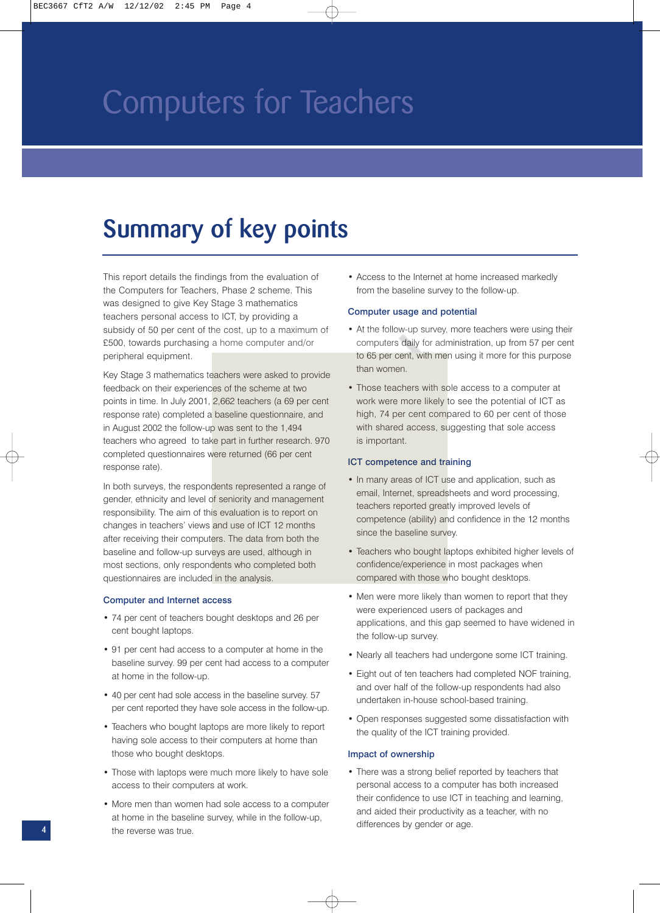### **Summary of key points**

This report details the findings from the evaluation of the Computers for Teachers, Phase 2 scheme. This was designed to give Key Stage 3 mathematics teachers personal access to ICT, by providing a subsidy of 50 per cent of the cost, up to a maximum of £500, towards purchasing a home computer and/or peripheral equipment.

Key Stage 3 mathematics teachers were asked to provide feedback on their experiences of the scheme at two points in time. In July 2001, 2,662 teachers (a 69 per cent response rate) completed a baseline questionnaire, and in August 2002 the follow-up was sent to the 1,494 teachers who agreed to take part in further research. 970 completed questionnaires were returned (66 per cent response rate).

In both surveys, the respondents represented a range of gender, ethnicity and level of seniority and management responsibility. The aim of this evaluation is to report on changes in teachers' views and use of ICT 12 months after receiving their computers. The data from both the baseline and follow-up surveys are used, although in most sections, only respondents who completed both questionnaires are included in the analysis.

#### Computer and Internet access

- 74 per cent of teachers bought desktops and 26 per cent bought laptops.
- 91 per cent had access to a computer at home in the baseline survey. 99 per cent had access to a computer at home in the follow-up.
- 40 per cent had sole access in the baseline survey. 57 per cent reported they have sole access in the follow-up.
- Teachers who bought laptops are more likely to report having sole access to their computers at home than those who bought desktops.
- Those with laptops were much more likely to have sole access to their computers at work.
- More men than women had sole access to a computer at home in the baseline survey, while in the follow-up, the reverse was true.

• Access to the Internet at home increased markedly from the baseline survey to the follow-up.

#### Computer usage and potential

- At the follow-up survey, more teachers were using their computers daily for administration, up from 57 per cent to 65 per cent, with men using it more for this purpose than women.
- Those teachers with sole access to a computer at work were more likely to see the potential of ICT as high, 74 per cent compared to 60 per cent of those with shared access, suggesting that sole access is important.

#### ICT competence and training

- In many areas of ICT use and application, such as email, Internet, spreadsheets and word processing, teachers reported greatly improved levels of competence (ability) and confidence in the 12 months since the baseline survey.
- Teachers who bought laptops exhibited higher levels of confidence/experience in most packages when compared with those who bought desktops.
- Men were more likely than women to report that they were experienced users of packages and applications, and this gap seemed to have widened in the follow-up survey.
- Nearly all teachers had undergone some ICT training.
- Eight out of ten teachers had completed NOF training, and over half of the follow-up respondents had also undertaken in-house school-based training.
- Open responses suggested some dissatisfaction with the quality of the ICT training provided.

#### Impact of ownership

• There was a strong belief reported by teachers that personal access to a computer has both increased their confidence to use ICT in teaching and learning, and aided their productivity as a teacher, with no differences by gender or age.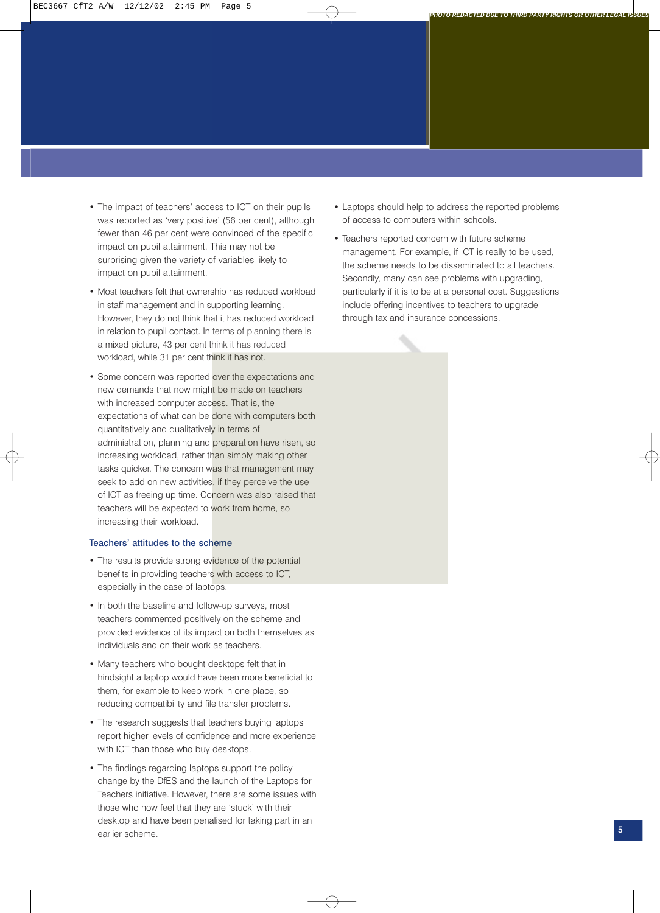- The impact of teachers' access to ICT on their pupils was reported as 'very positive' (56 per cent), although fewer than 46 per cent were convinced of the specific impact on pupil attainment. This may not be surprising given the variety of variables likely to impact on pupil attainment.
- Most teachers felt that ownership has reduced workload in staff management and in supporting learning. However, they do not think that it has reduced workload in relation to pupil contact. In terms of planning there is a mixed picture, 43 per cent think it has reduced workload, while 31 per cent think it has not.
- Some concern was reported over the expectations and new demands that now might be made on teachers with increased computer access. That is, the expectations of what can be done with computers both quantitatively and qualitatively in terms of administration, planning and preparation have risen, so increasing workload, rather than simply making other tasks quicker. The concern was that management may seek to add on new activities, if they perceive the use of ICT as freeing up time. Concern was also raised that teachers will be expected to work from home, so increasing their workload.

#### Teachers' attitudes to the scheme

- The results provide strong evidence of the potential benefits in providing teachers with access to ICT, especially in the case of laptops.
- In both the baseline and follow-up surveys, most teachers commented positively on the scheme and provided evidence of its impact on both themselves as individuals and on their work as teachers.
- Many teachers who bought desktops felt that in hindsight a laptop would have been more beneficial to them, for example to keep work in one place, so reducing compatibility and file transfer problems.
- The research suggests that teachers buying laptops report higher levels of confidence and more experience with ICT than those who buy desktops.
- The findings regarding laptops support the policy change by the DfES and the launch of the Laptops for Teachers initiative. However, there are some issues with those who now feel that they are 'stuck' with their desktop and have been penalised for taking part in an earlier scheme.

• Laptops should help to address the reported problems of access to computers within schools.

*PHOTO REDACTED DUE TO THIRD PARTY RIGHTS OR OTHER LEGAL ISSUES*

• Teachers reported concern with future scheme management. For example, if ICT is really to be used, the scheme needs to be disseminated to all teachers. Secondly, many can see problems with upgrading, particularly if it is to be at a personal cost. Suggestions include offering incentives to teachers to upgrade through tax and insurance concessions.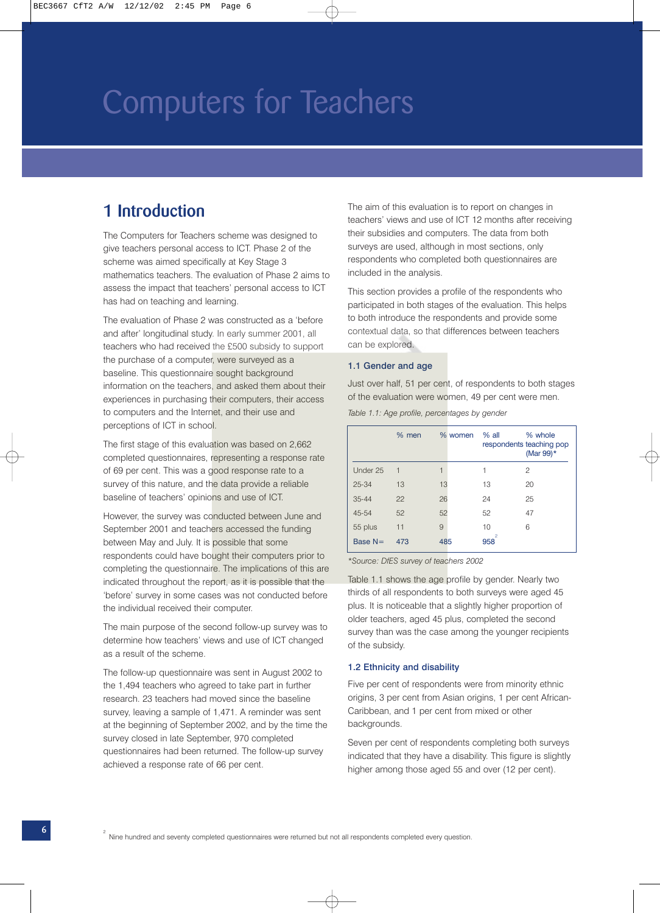### **1 Introduction**

The Computers for Teachers scheme was designed to give teachers personal access to ICT. Phase 2 of the scheme was aimed specifically at Key Stage 3 mathematics teachers. The evaluation of Phase 2 aims to assess the impact that teachers' personal access to ICT has had on teaching and learning.

The evaluation of Phase 2 was constructed as a 'before and after' longitudinal study. In early summer 2001, all teachers who had received the £500 subsidy to support the purchase of a computer, were surveyed as a baseline. This questionnaire sought background information on the teachers, and asked them about their experiences in purchasing their computers, their access to computers and the Internet, and their use and perceptions of ICT in school.

The first stage of this evaluation was based on 2,662 completed questionnaires, representing a response rate of 69 per cent. This was a good response rate to a survey of this nature, and the data provide a reliable baseline of teachers' opinions and use of ICT.

However, the survey was conducted between June and September 2001 and teachers accessed the funding between May and July. It is possible that some respondents could have bought their computers prior to completing the questionnaire. The implications of this are indicated throughout the report, as it is possible that the 'before' survey in some cases was not conducted before the individual received their computer.

The main purpose of the second follow-up survey was to determine how teachers' views and use of ICT changed as a result of the scheme.

The follow-up questionnaire was sent in August 2002 to the 1,494 teachers who agreed to take part in further research. 23 teachers had moved since the baseline survey, leaving a sample of 1,471. A reminder was sent at the beginning of September 2002, and by the time the survey closed in late September, 970 completed questionnaires had been returned. The follow-up survey achieved a response rate of 66 per cent.

The aim of this evaluation is to report on changes in teachers' views and use of ICT 12 months after receiving their subsidies and computers. The data from both surveys are used, although in most sections, only respondents who completed both questionnaires are included in the analysis.

This section provides a profile of the respondents who participated in both stages of the evaluation. This helps to both introduce the respondents and provide some contextual data, so that differences between teachers can be explored.

#### 1.1 Gender and age

Just over half, 51 per cent, of respondents to both stages of the evaluation were women, 49 per cent were men. *Table 1.1: Age profile, percentages by gender*

|           | $%$ men     | % women | $%$ all               | % whole<br>respondents teaching pop<br>(Mar 99)* |
|-----------|-------------|---------|-----------------------|--------------------------------------------------|
| Under 25  | $\mathbf 1$ | 1       | 1                     | 2                                                |
| $25 - 34$ | 13          | 13      | 13                    | 20                                               |
| $35 - 44$ | 22          | 26      | 24                    | 25                                               |
| $45 - 54$ | 52          | 52      | 52                    | 47                                               |
| 55 plus   | 11          | 9       | 10                    | 6                                                |
| Base $N=$ | 473         | 485     | $\overline{2}$<br>958 |                                                  |

*\*Source: DfES survey of teachers 2002*

Table 1.1 shows the age profile by gender. Nearly two thirds of all respondents to both surveys were aged 45 plus. It is noticeable that a slightly higher proportion of older teachers, aged 45 plus, completed the second survey than was the case among the younger recipients of the subsidy.

#### 1.2 Ethnicity and disability

Five per cent of respondents were from minority ethnic origins, 3 per cent from Asian origins, 1 per cent African-Caribbean, and 1 per cent from mixed or other backgrounds.

Seven per cent of respondents completing both surveys indicated that they have a disability. This figure is slightly higher among those aged 55 and over (12 per cent).

 $\oplus$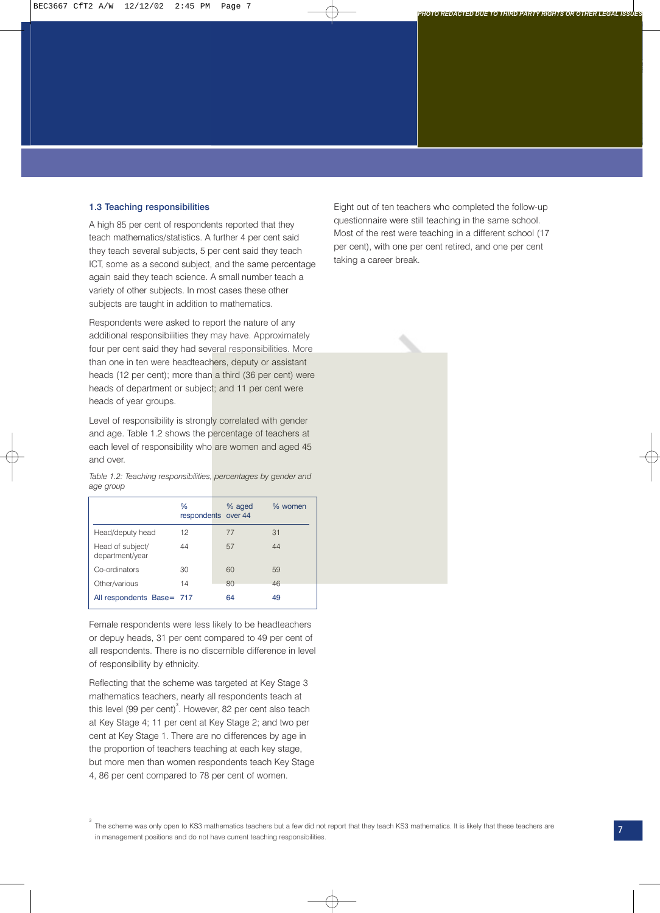### 1.3 Teaching responsibilities

A high 85 per cent of respondents reported that they teach mathematics/statistics. A further 4 per cent said they teach several subjects, 5 per cent said they teach ICT, some as a second subject, and the same percentage again said they teach science. A small number teach a variety of other subjects. In most cases these other subjects are taught in addition to mathematics.

Respondents were asked to report the nature of any additional responsibilities they may have. Approximately four per cent said they had several responsibilities. More than one in ten were headteachers, deputy or assistant heads (12 per cent); more than a third (36 per cent) were heads of department or subject; and 11 per cent were heads of year groups.

Level of responsibility is strongly correlated with gender and age. Table 1.2 shows the percentage of teachers at each level of responsibility who are women and aged 45 and over.

*Table 1.2: Teaching responsibilities, percentages by gender and age group*

|                                     | $\frac{0}{0}$<br>respondents over 44 | % aged | % women |
|-------------------------------------|--------------------------------------|--------|---------|
| Head/deputy head                    | 12                                   | 77     | 31      |
| Head of subject/<br>department/year | 44                                   | 57     | 44      |
| Co-ordinators                       | 30                                   | 60     | 59      |
| Other/various                       | 14                                   | 80     | 46      |
| All respondents Base= 717           |                                      | 64     | 49      |

Female respondents were less likely to be headteachers or depuy heads, 31 per cent compared to 49 per cent of all respondents. There is no discernible difference in level of responsibility by ethnicity.

Reflecting that the scheme was targeted at Key Stage 3 mathematics teachers, nearly all respondents teach at this level (99 per cent)<sup>3</sup>. However, 82 per cent also teach at Key Stage 4; 11 per cent at Key Stage 2; and two per cent at Key Stage 1. There are no differences by age in the proportion of teachers teaching at each key stage, but more men than women respondents teach Key Stage 4, 86 per cent compared to 78 per cent of women.

3

Eight out of ten teachers who completed the follow-up questionnaire were still teaching in the same school. Most of the rest were teaching in a different school (17 per cent), with one per cent retired, and one per cent taking a career break.

*PHOTO REDACTED DUE TO THIRD PARTY RIGHTS OR OTHER LEGAL ISSUES*

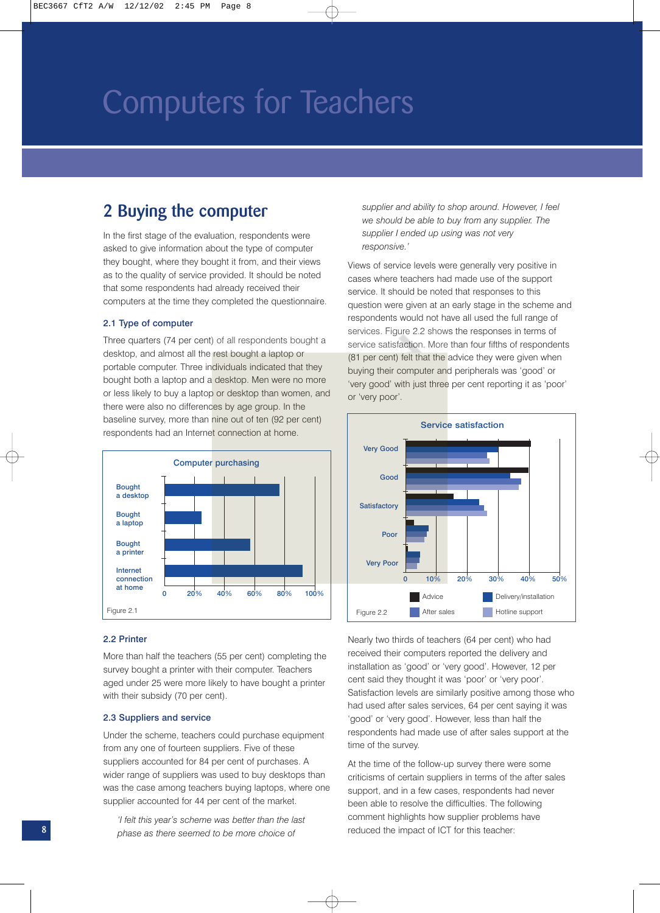### **2 Buying the computer**

In the first stage of the evaluation, respondents were asked to give information about the type of computer they bought, where they bought it from, and their views as to the quality of service provided. It should be noted that some respondents had already received their computers at the time they completed the questionnaire.

### 2.1 Type of computer

Three quarters (74 per cent) of all respondents bought a desktop, and almost all the rest bought a laptop or portable computer. Three individuals indicated that they bought both a laptop and a desktop. Men were no more or less likely to buy a laptop or desktop than women, and there were also no differences by age group. In the baseline survey, more than nine out of ten (92 per cent) respondents had an Internet connection at home.



### 2.2 Printer

More than half the teachers (55 per cent) completing the survey bought a printer with their computer. Teachers aged under 25 were more likely to have bought a printer with their subsidy (70 per cent).

#### 2.3 Suppliers and service

Under the scheme, teachers could purchase equipment from any one of fourteen suppliers. Five of these suppliers accounted for 84 per cent of purchases. A wider range of suppliers was used to buy desktops than was the case among teachers buying laptops, where one supplier accounted for 44 per cent of the market.

*'I felt this year's scheme was better than the last phase as there seemed to be more choice of*

*supplier and ability to shop around. However, I feel we should be able to buy from any supplier. The supplier I ended up using was not very responsive.'*

Views of service levels were generally very positive in cases where teachers had made use of the support service. It should be noted that responses to this question were given at an early stage in the scheme and respondents would not have all used the full range of services. Figure 2.2 shows the responses in terms of service satisfaction. More than four fifths of respondents (81 per cent) felt that the advice they were given when buying their computer and peripherals was 'good' or 'very good' with just three per cent reporting it as 'poor' or 'very poor'.



Nearly two thirds of teachers (64 per cent) who had received their computers reported the delivery and installation as 'good' or 'very good'. However, 12 per cent said they thought it was 'poor' or 'very poor'. Satisfaction levels are similarly positive among those who had used after sales services, 64 per cent saying it was 'good' or 'very good'. However, less than half the respondents had made use of after sales support at the time of the survey.

At the time of the follow-up survey there were some criticisms of certain suppliers in terms of the after sales support, and in a few cases, respondents had never been able to resolve the difficulties. The following comment highlights how supplier problems have **8** reduced the impact of ICT for this teacher: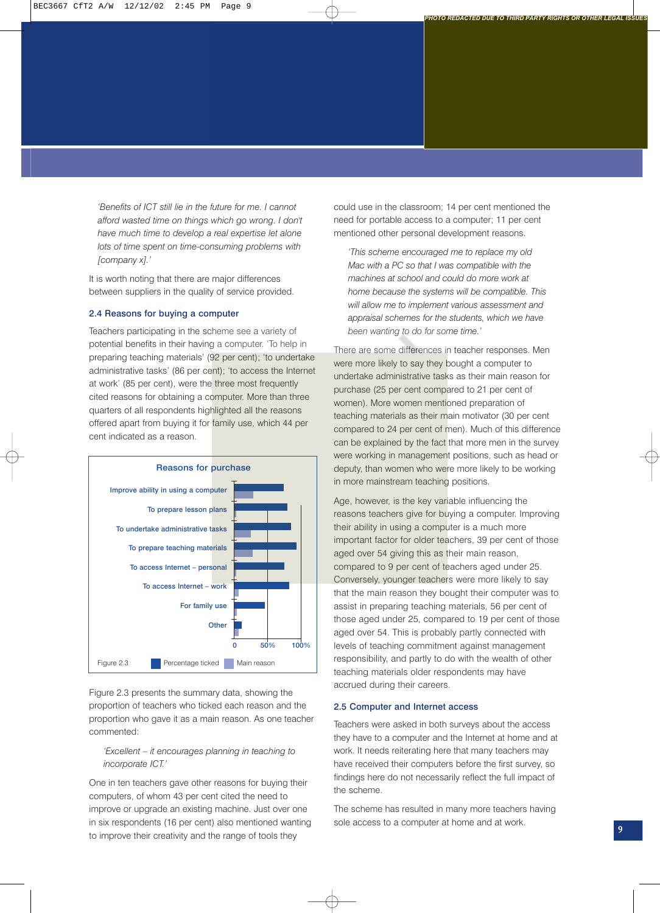*'Benefits of ICT still lie in the future for me. I cannot afford wasted time on things which go wrong. I don't have much time to develop a real expertise let alone lots of time spent on time-consuming problems with [company x].'* 

It is worth noting that there are major differences between suppliers in the quality of service provided.

### 2.4 Reasons for buying a computer

Teachers participating in the scheme see a variety of potential benefits in their having a computer. 'To help in preparing teaching materials' (92 per cent); 'to undertake administrative tasks' (86 per cent); 'to access the Internet at work' (85 per cent), were the three most frequently cited reasons for obtaining a computer. More than three quarters of all respondents highlighted all the reasons offered apart from buying it for family use, which 44 per cent indicated as a reason.



Figure 2.3 presents the summary data, showing the proportion of teachers who ticked each reason and the proportion who gave it as a main reason. As one teacher commented:

### *'Excellent – it encourages planning in teaching to incorporate ICT.'*

One in ten teachers gave other reasons for buying their computers, of whom 43 per cent cited the need to improve or upgrade an existing machine. Just over one in six respondents (16 per cent) also mentioned wanting to improve their creativity and the range of tools they

could use in the classroom; 14 per cent mentioned the need for portable access to a computer; 11 per cent mentioned other personal development reasons.

*PHOTO REDACTED DUE TO THIRD PARTY RIGHTS OR OTHER LEGAL ISSUES*

*'This scheme encouraged me to replace my old Mac with a PC so that I was compatible with the machines at school and could do more work at home because the systems will be compatible. This will allow me to implement various assessment and appraisal schemes for the students, which we have been wanting to do for some time.'*

There are some differences in teacher responses. Men were more likely to say they bought a computer to undertake administrative tasks as their main reason for purchase (25 per cent compared to 21 per cent of women). More women mentioned preparation of teaching materials as their main motivator (30 per cent compared to 24 per cent of men). Much of this difference can be explained by the fact that more men in the survey were working in management positions, such as head or deputy, than women who were more likely to be working in more mainstream teaching positions.

Age, however, is the key variable influencing the reasons teachers give for buying a computer. Improving their ability in using a computer is a much more important factor for older teachers, 39 per cent of those aged over 54 giving this as their main reason, compared to 9 per cent of teachers aged under 25. Conversely, younger teachers were more likely to say that the main reason they bought their computer was to assist in preparing teaching materials, 56 per cent of those aged under 25, compared to 19 per cent of those aged over 54. This is probably partly connected with levels of teaching commitment against management responsibility, and partly to do with the wealth of other teaching materials older respondents may have accrued during their careers.

#### 2.5 Computer and Internet access

Teachers were asked in both surveys about the access they have to a computer and the Internet at home and at work. It needs reiterating here that many teachers may have received their computers before the first survey, so findings here do not necessarily reflect the full impact of the scheme.

The scheme has resulted in many more teachers having sole access to a computer at home and at work. **<sup>9</sup>**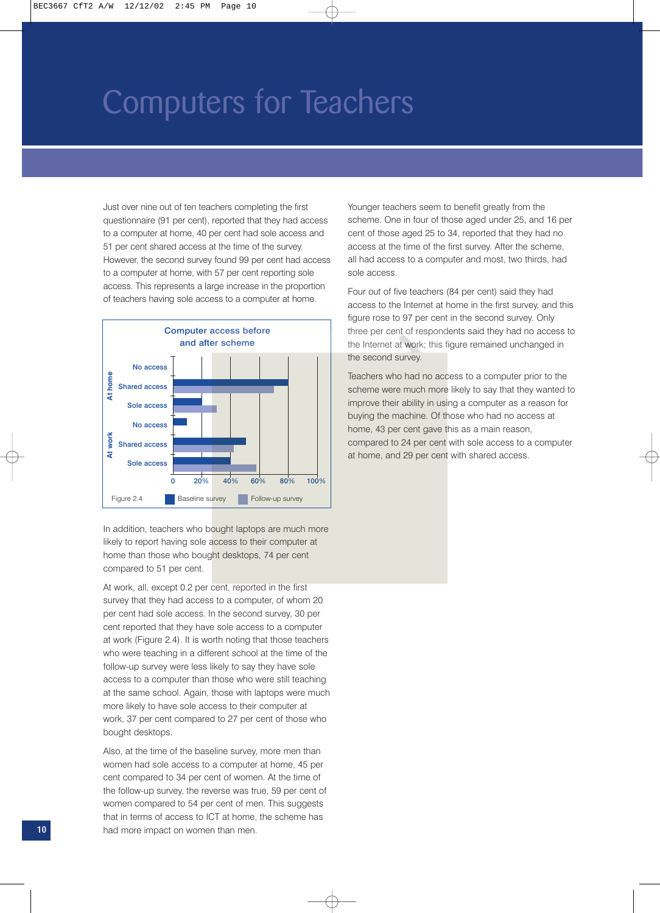Just over nine out of ten teachers completing the first questionnaire (91 per cent), reported that they had access to a computer at home, 40 per cent had sole access and 51 per cent shared access at the time of the survey. However, the second survey found 99 per cent had access to a computer at home, with 57 per cent reporting sole access. This represents a large increase in the proportion of teachers having sole access to a computer at home.



In addition, teachers who bought laptops are much more likely to report having sole access to their computer at home than those who bought desktops, 74 per cent compared to 51 per cent.

At work, all, except 0.2 per cent, reported in the first survey that they had access to a computer, of whom 20 per cent had sole access. In the second survey, 30 per cent reported that they have sole access to a computer at work (Figure 2.4). It is worth noting that those teachers who were teaching in a different school at the time of the follow-up survey were less likely to say they have sole access to a computer than those who were still teaching at the same school. Again, those with laptops were much more likely to have sole access to their computer at work, 37 per cent compared to 27 per cent of those who bought desktops.

Also, at the time of the baseline survey, more men than women had sole access to a computer at home, 45 per cent compared to 34 per cent of women. At the time of the follow-up survey, the reverse was true, 59 per cent of women compared to 54 per cent of men. This suggests that in terms of access to ICT at home, the scheme has had more impact on women than men.

Younger teachers seem to benefit greatly from the scheme. One in four of those aged under 25, and 16 per cent of those aged 25 to 34, reported that they had no access at the time of the first survey. After the scheme, all had access to a computer and most, two thirds, had sole access.

Four out of five teachers (84 per cent) said they had access to the Internet at home in the first survey, and this figure rose to 97 per cent in the second survey. Only three per cent of respondents said they had no access to the Internet at work; this figure remained unchanged in the second survey.

Teachers who had no access to a computer prior to the scheme were much more likely to say that they wanted to improve their ability in using a computer as a reason for buying the machine. Of those who had no access at home, 43 per cent gave this as a main reason, compared to 24 per cent with sole access to a computer at home, and 29 per cent with shared access.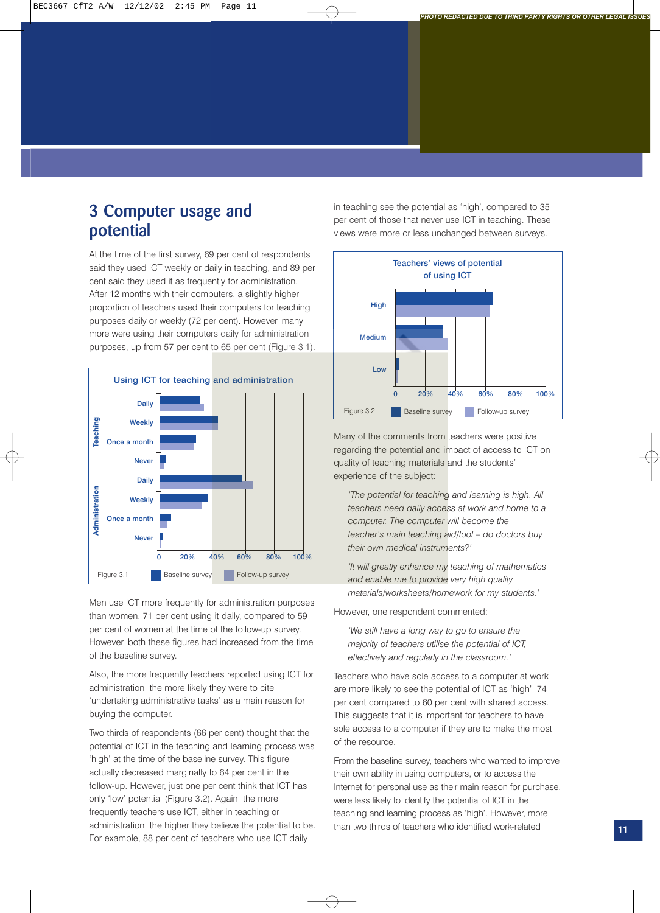### **3 Computer usage and potential**

At the time of the first survey, 69 per cent of respondents said they used ICT weekly or daily in teaching, and 89 per cent said they used it as frequently for administration. After 12 months with their computers, a slightly higher proportion of teachers used their computers for teaching purposes daily or weekly (72 per cent). However, many more were using their computers daily for administration purposes, up from 57 per cent to 65 per cent (Figure 3.1).



Men use ICT more frequently for administration purposes than women, 71 per cent using it daily, compared to 59 per cent of women at the time of the follow-up survey. However, both these figures had increased from the time of the baseline survey.

Also, the more frequently teachers reported using ICT for administration, the more likely they were to cite 'undertaking administrative tasks' as a main reason for buying the computer.

Two thirds of respondents (66 per cent) thought that the potential of ICT in the teaching and learning process was 'high' at the time of the baseline survey. This figure actually decreased marginally to 64 per cent in the follow-up. However, just one per cent think that ICT has only 'low' potential (Figure 3.2). Again, the more frequently teachers use ICT, either in teaching or administration, the higher they believe the potential to be. For example, 88 per cent of teachers who use ICT daily

in teaching see the potential as 'high', compared to 35 per cent of those that never use ICT in teaching. These views were more or less unchanged between surveys.

*PHOTO REDACTED DUE TO THIRD PARTY RIGHTS OR OTHER LEGAL ISSUES*



Many of the comments from teachers were positive regarding the potential and impact of access to ICT on quality of teaching materials and the students' experience of the subject:

*'The potential for teaching and learning is high. All teachers need daily access at work and home to a computer. The computer will become the teacher's main teaching aid/tool – do doctors buy their own medical instruments?'*

*'It will greatly enhance my teaching of mathematics and enable me to provide very high quality materials/worksheets/homework for my students.'*

However, one respondent commented:

*'We still have a long way to go to ensure the majority of teachers utilise the potential of ICT, effectively and regularly in the classroom.'*

Teachers who have sole access to a computer at work are more likely to see the potential of ICT as 'high', 74 per cent compared to 60 per cent with shared access. This suggests that it is important for teachers to have sole access to a computer if they are to make the most of the resource.

From the baseline survey, teachers who wanted to improve their own ability in using computers, or to access the Internet for personal use as their main reason for purchase, were less likely to identify the potential of ICT in the teaching and learning process as 'high'. However, more than two thirds of teachers who identified work-related **11**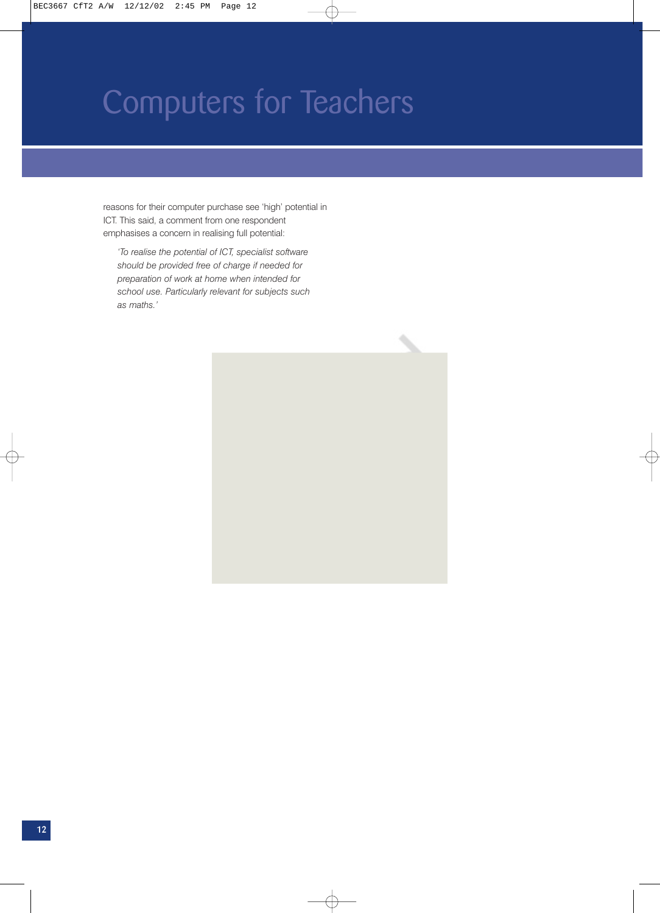reasons for their computer purchase see 'high' potential in ICT. This said, a comment from one respondent emphasises a concern in realising full potential:

*'To realise the potential of ICT, specialist software should be provided free of charge if needed for preparation of work at home when intended for school use. Particularly relevant for subjects such as maths.'*



</u>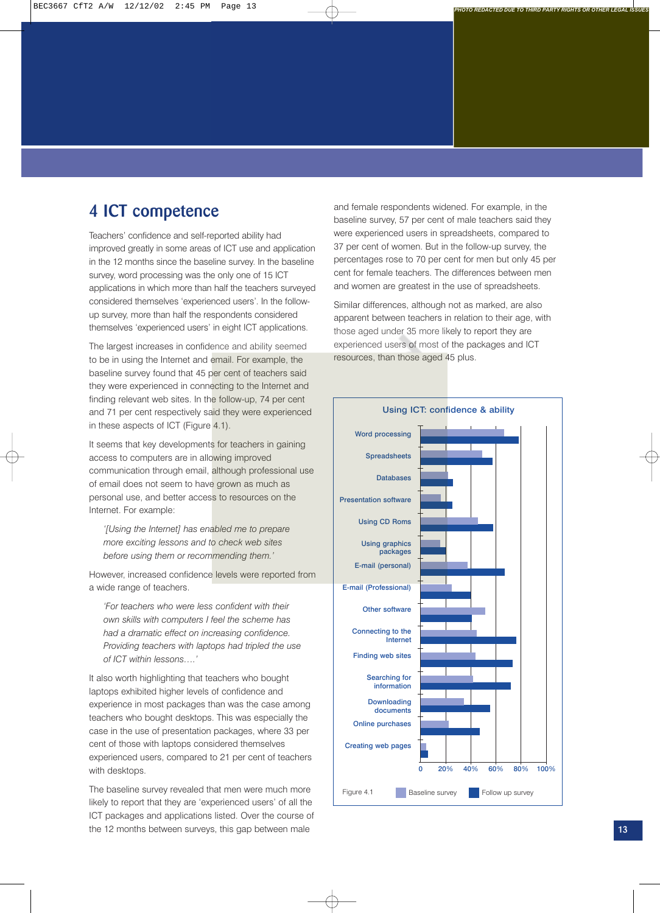### **4 ICT competence**

Teachers' confidence and self-reported ability had improved greatly in some areas of ICT use and application in the 12 months since the baseline survey. In the baseline survey, word processing was the only one of 15 ICT applications in which more than half the teachers surveyed considered themselves 'experienced users'. In the followup survey, more than half the respondents considered themselves 'experienced users' in eight ICT applications.

The largest increases in confidence and ability seemed to be in using the Internet and email. For example, the baseline survey found that 45 per cent of teachers said they were experienced in connecting to the Internet and finding relevant web sites. In the follow-up, 74 per cent and 71 per cent respectively said they were experienced in these aspects of ICT (Figure 4.1).

It seems that key developments for teachers in gaining access to computers are in allowing improved communication through email, although professional use of email does not seem to have grown as much as personal use, and better access to resources on the Internet. For example:

*'[Using the Internet] has enabled me to prepare more exciting lessons and to check web sites before using them or recommending them.'*

However, increased confidence levels were reported from a wide range of teachers.

*'For teachers who were less confident with their own skills with computers I feel the scheme has had a dramatic effect on increasing confidence. Providing teachers with laptops had tripled the use of ICT within lessons….'*

It also worth highlighting that teachers who bought laptops exhibited higher levels of confidence and experience in most packages than was the case among teachers who bought desktops. This was especially the case in the use of presentation packages, where 33 per cent of those with laptops considered themselves experienced users, compared to 21 per cent of teachers with desktops.

The baseline survey revealed that men were much more likely to report that they are 'experienced users' of all the ICT packages and applications listed. Over the course of the 12 months between surveys, this gap between male

and female respondents widened. For example, in the baseline survey, 57 per cent of male teachers said they were experienced users in spreadsheets, compared to 37 per cent of women. But in the follow-up survey, the percentages rose to 70 per cent for men but only 45 per cent for female teachers. The differences between men and women are greatest in the use of spreadsheets.

Similar differences, although not as marked, are also apparent between teachers in relation to their age, with those aged under 35 more likely to report they are experienced users of most of the packages and ICT resources, than those aged 45 plus.

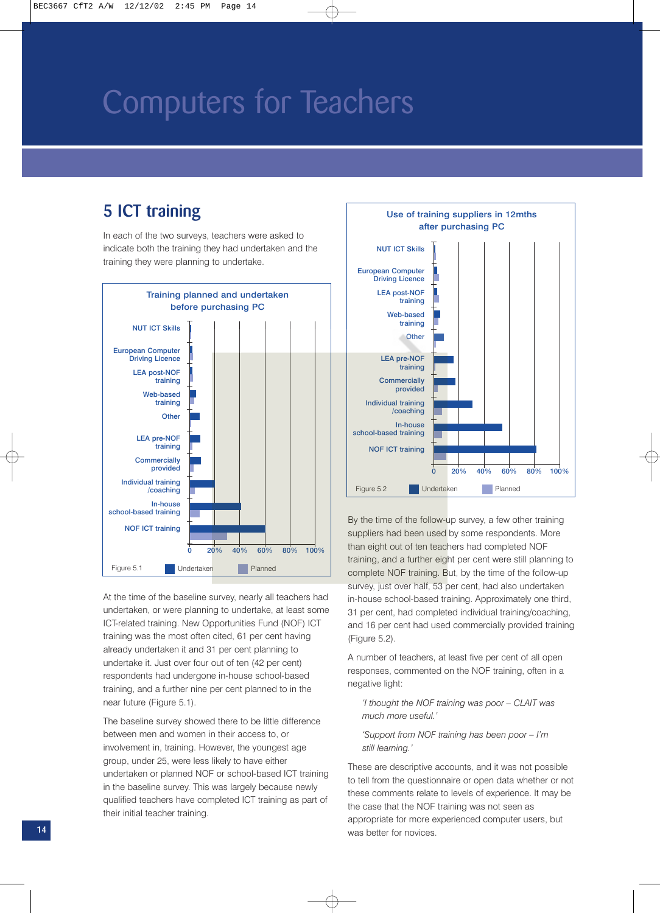### **5 ICT training**

In each of the two surveys, teachers were asked to indicate both the training they had undertaken and the training they were planning to undertake.



At the time of the baseline survey, nearly all teachers had undertaken, or were planning to undertake, at least some ICT-related training. New Opportunities Fund (NOF) ICT training was the most often cited, 61 per cent having already undertaken it and 31 per cent planning to undertake it. Just over four out of ten (42 per cent) respondents had undergone in-house school-based training, and a further nine per cent planned to in the near future (Figure 5.1).

The baseline survey showed there to be little difference between men and women in their access to, or involvement in, training. However, the youngest age group, under 25, were less likely to have either undertaken or planned NOF or school-based ICT training in the baseline survey. This was largely because newly qualified teachers have completed ICT training as part of their initial teacher training.



By the time of the follow-up survey, a few other training suppliers had been used by some respondents. More than eight out of ten teachers had completed NOF training, and a further eight per cent were still planning to complete NOF training. But, by the time of the follow-up survey, just over half, 53 per cent, had also undertaken in-house school-based training. Approximately one third, 31 per cent, had completed individual training/coaching, and 16 per cent had used commercially provided training (Figure 5.2).

A number of teachers, at least five per cent of all open responses, commented on the NOF training, often in a negative light:

*'I thought the NOF training was poor – CLAIT was much more useful.'*

### *'Support from NOF training has been poor – I'm still learning.'*

These are descriptive accounts, and it was not possible to tell from the questionnaire or open data whether or not these comments relate to levels of experience. It may be the case that the NOF training was not seen as appropriate for more experienced computer users, but **14** Was better for novices.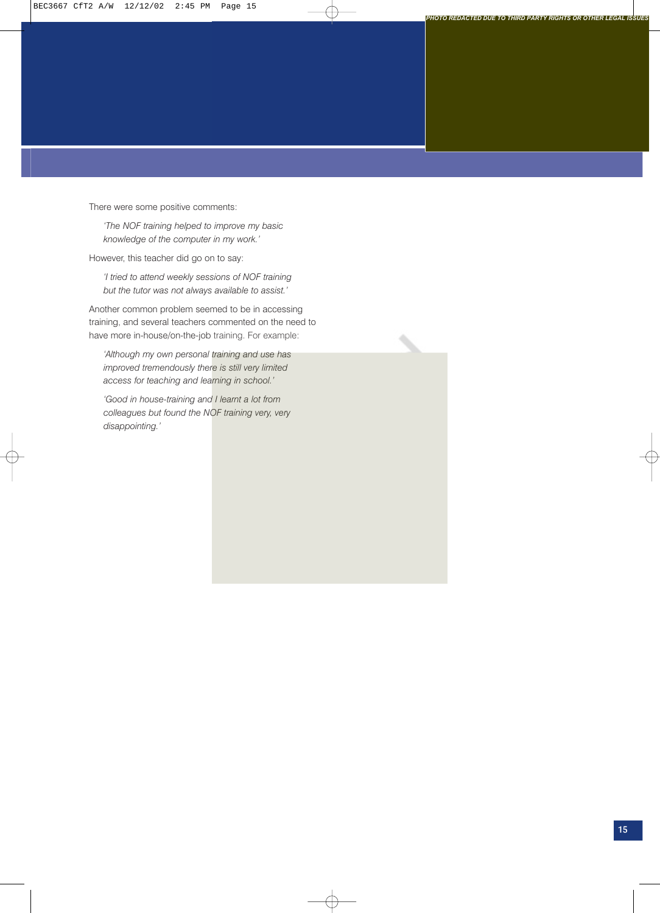There were some positive comments:

*'The NOF training helped to improve my basic knowledge of the computer in my work.'* 

However, this teacher did go on to say:

*'I tried to attend weekly sessions of NOF training but the tutor was not always available to assist.'*

Another common problem seemed to be in accessing training, and several teachers commented on the need to have more in-house/on-the-job training. For example:

*'Although my own personal training and use has improved tremendously there is still very limited access for teaching and learning in school.'*

*'Good in house-training and I learnt a lot from colleagues but found the NOF training very, very disappointing.'*

Æ

*PHOTO REDACTED DUE TO THIRD PARTY RIGHTS OR OTHER LEGAL ISSUES*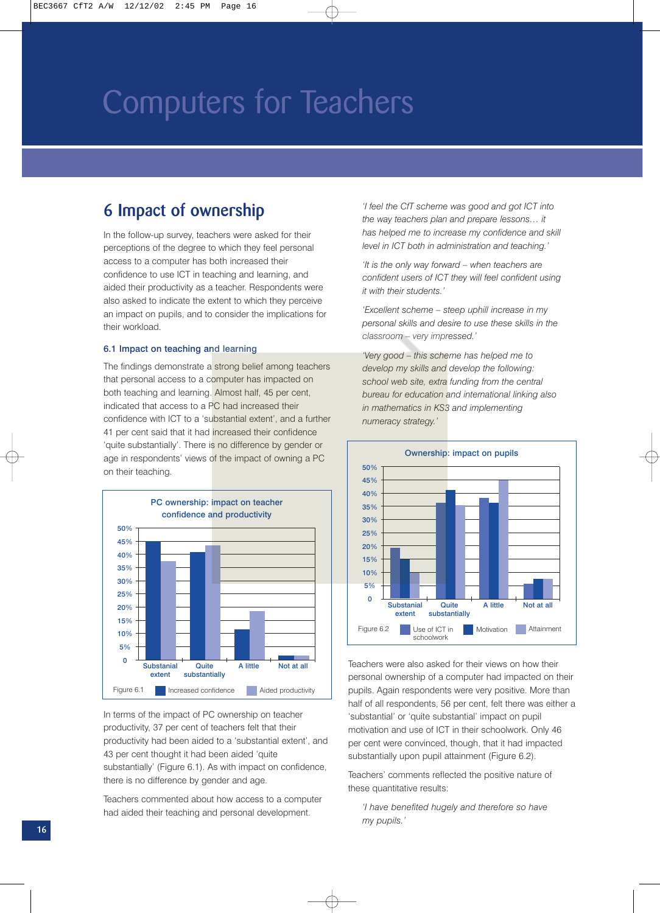### **6 Impact of ownership**

In the follow-up survey, teachers were asked for their perceptions of the degree to which they feel personal access to a computer has both increased their confidence to use ICT in teaching and learning, and aided their productivity as a teacher. Respondents were also asked to indicate the extent to which they perceive an impact on pupils, and to consider the implications for their workload.

#### 6.1 Impact on teaching and learning

The findings demonstrate a strong belief among teachers that personal access to a computer has impacted on both teaching and learning. Almost half, 45 per cent, indicated that access to a PC had increased their confidence with ICT to a 'substantial extent', and a further 41 per cent said that it had increased their confidence 'quite substantially'. There is no difference by gender or age in respondents' views of the impact of owning a PC on their teaching.



In terms of the impact of PC ownership on teacher productivity, 37 per cent of teachers felt that their productivity had been aided to a 'substantial extent', and 43 per cent thought it had been aided 'quite substantially' (Figure 6.1). As with impact on confidence, there is no difference by gender and age.

Teachers commented about how access to a computer had aided their teaching and personal development.

*'I feel the CfT scheme was good and got ICT into the way teachers plan and prepare lessons… it has helped me to increase my confidence and skill level in ICT both in administration and teaching.'*

*'It is the only way forward – when teachers are confident users of ICT they will feel confident using it with their students.'*

*'Excellent scheme – steep uphill increase in my personal skills and desire to use these skills in the classroom – very impressed.'*

*'Very good – this scheme has helped me to develop my skills and develop the following: school web site, extra funding from the central bureau for education and international linking also in mathematics in KS3 and implementing numeracy strategy.'*



Teachers were also asked for their views on how their personal ownership of a computer had impacted on their pupils. Again respondents were very positive. More than half of all respondents, 56 per cent, felt there was either a 'substantial' or 'quite substantial' impact on pupil motivation and use of ICT in their schoolwork. Only 46 per cent were convinced, though, that it had impacted substantially upon pupil attainment (Figure 6.2).

Teachers' comments reflected the positive nature of these quantitative results:

*'I have benefited hugely and therefore so have my pupils.'*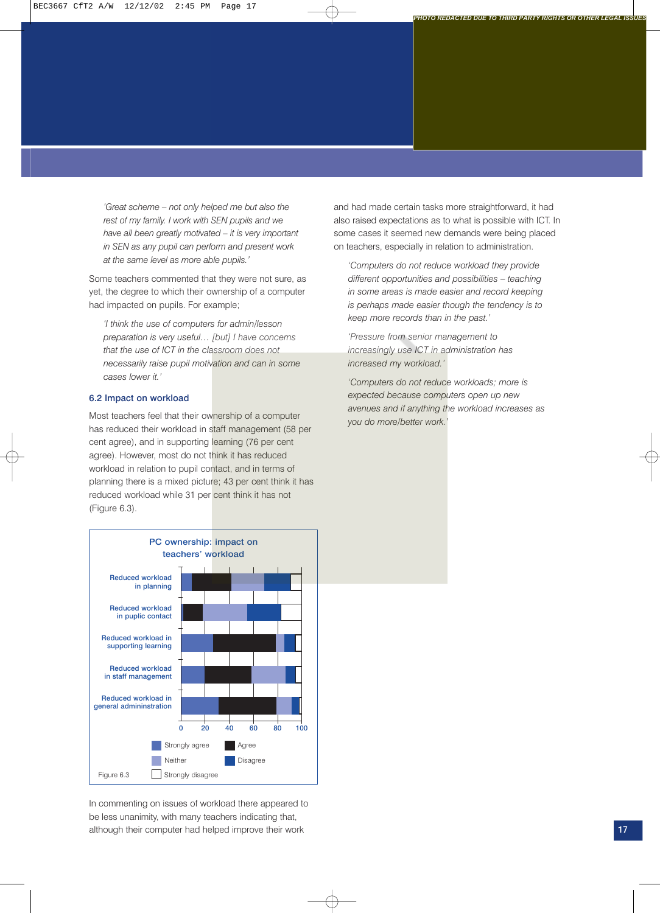*'Great scheme – not only helped me but also the rest of my family. I work with SEN pupils and we have all been greatly motivated – it is very important in SEN as any pupil can perform and present work at the same level as more able pupils.'*

Some teachers commented that they were not sure, as yet, the degree to which their ownership of a computer had impacted on pupils. For example;

*'I think the use of computers for admin/lesson preparation is very useful… [but] I have concerns that the use of ICT in the classroom does not necessarily raise pupil motivation and can in some cases lower it.'*

### 6.2 Impact on workload

Most teachers feel that their ownership of a computer has reduced their workload in staff management (58 per cent agree), and in supporting learning (76 per cent agree). However, most do not think it has reduced workload in relation to pupil contact, and in terms of planning there is a mixed picture; 43 per cent think it has reduced workload while 31 per cent think it has not (Figure 6.3).

and had made certain tasks more straightforward, it had also raised expectations as to what is possible with ICT. In some cases it seemed new demands were being placed on teachers, especially in relation to administration.

*PHOTO REDACTED DUE TO THIRD PARTY RIGHTS OR OTHER LEGAL ISSUES*

*'Computers do not reduce workload they provide different opportunities and possibilities – teaching in some areas is made easier and record keeping is perhaps made easier though the tendency is to keep more records than in the past.'* 

*'Pressure from senior management to increasingly use ICT in administration has increased my workload.'*

*'Computers do not reduce workloads; more is expected because computers open up new avenues and if anything the workload increases as you do more/better work.'*



In commenting on issues of workload there appeared to be less unanimity, with many teachers indicating that, although their computer had helped improve their work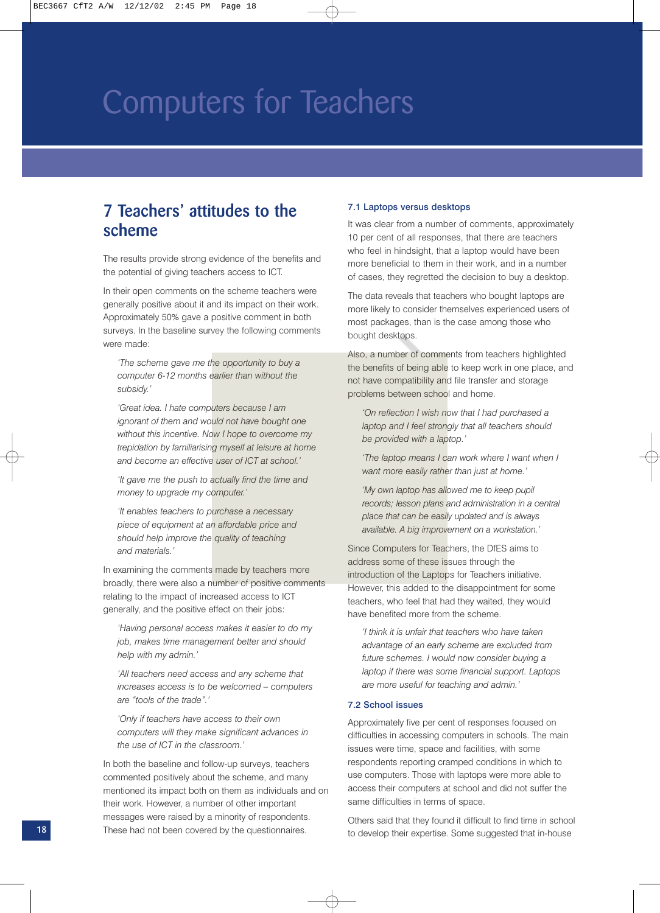### **7 Teachers' attitudes to the scheme**

The results provide strong evidence of the benefits and the potential of giving teachers access to ICT.

In their open comments on the scheme teachers were generally positive about it and its impact on their work. Approximately 50% gave a positive comment in both surveys. In the baseline survey the following comments were made:

*'The scheme gave me the opportunity to buy a computer 6-12 months earlier than without the subsidy.'*

*'Great idea. I hate computers because I am ignorant of them and would not have bought one without this incentive. Now I hope to overcome my trepidation by familiarising myself at leisure at home and become an effective user of ICT at school.'*

*'It gave me the push to actually find the time and money to upgrade my computer.'*

*'It enables teachers to purchase a necessary piece of equipment at an affordable price and should help improve the quality of teaching and materials.'*

In examining the comments made by teachers more broadly, there were also a number of positive comments relating to the impact of increased access to ICT generally, and the positive effect on their jobs:

*'Having personal access makes it easier to do my job, makes time management better and should help with my admin.'*

*'All teachers need access and any scheme that increases access is to be welcomed – computers are "tools of the trade".'*

*'Only if teachers have access to their own computers will they make significant advances in the use of ICT in the classroom.'*

In both the baseline and follow-up surveys, teachers commented positively about the scheme, and many mentioned its impact both on them as individuals and on their work. However, a number of other important messages were raised by a minority of respondents. These had not been covered by the questionnaires.

### 7.1 Laptops versus desktops

It was clear from a number of comments, approximately 10 per cent of all responses, that there are teachers who feel in hindsight, that a laptop would have been more beneficial to them in their work, and in a number of cases, they regretted the decision to buy a desktop.

The data reveals that teachers who bought laptops are more likely to consider themselves experienced users of most packages, than is the case among those who bought desktops.

Also, a number of comments from teachers highlighted the benefits of being able to keep work in one place, and not have compatibility and file transfer and storage problems between school and home.

*'On reflection I wish now that I had purchased a laptop and I feel strongly that all teachers should be provided with a laptop.'*

*'The laptop means I can work where I want when I want more easily rather than just at home.'*

*'My own laptop has allowed me to keep pupil records; lesson plans and administration in a central place that can be easily updated and is always available. A big improvement on a workstation.'*

Since Computers for Teachers, the DfES aims to address some of these issues through the introduction of the Laptops for Teachers initiative. However, this added to the disappointment for some teachers, who feel that had they waited, they would have benefited more from the scheme.

*'I think it is unfair that teachers who have taken advantage of an early scheme are excluded from future schemes. I would now consider buying a laptop if there was some financial support. Laptops are more useful for teaching and admin.'*

#### 7.2 School issues

Approximately five per cent of responses focused on difficulties in accessing computers in schools. The main issues were time, space and facilities, with some respondents reporting cramped conditions in which to use computers. Those with laptops were more able to access their computers at school and did not suffer the same difficulties in terms of space.

Others said that they found it difficult to find time in school **18** These had not been covered by the questionnaires. The develop their expertise. Some suggested that in-house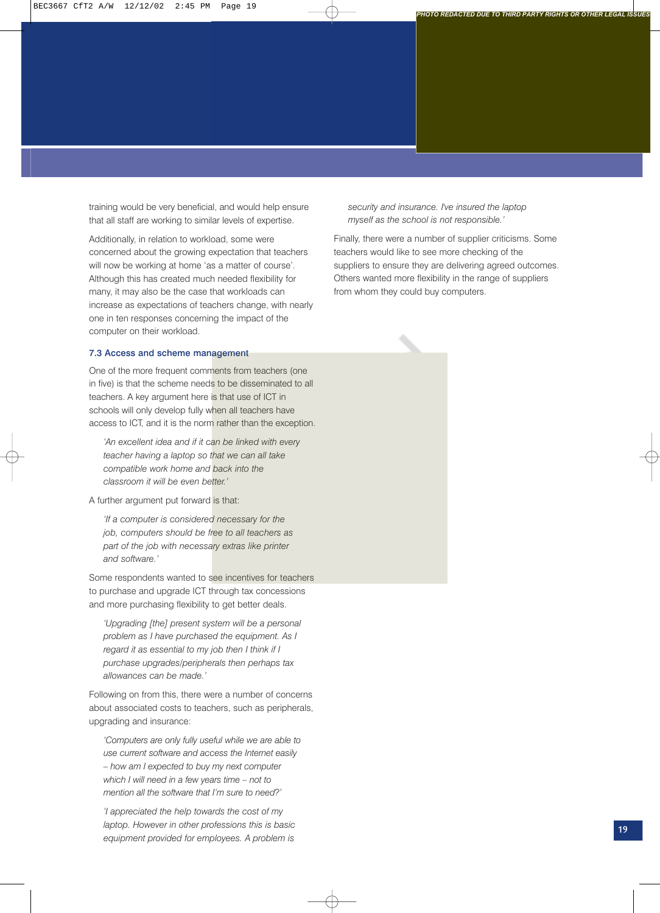training would be very beneficial, and would help ensure that all staff are working to similar levels of expertise.

Additionally, in relation to workload, some were concerned about the growing expectation that teachers will now be working at home 'as a matter of course'. Although this has created much needed flexibility for many, it may also be the case that workloads can increase as expectations of teachers change, with nearly one in ten responses concerning the impact of the computer on their workload.

### 7.3 Access and scheme management

One of the more frequent comments from teachers (one in five) is that the scheme needs to be disseminated to all teachers. A key argument here is that use of ICT in schools will only develop fully when all teachers have access to ICT, and it is the norm rather than the exception.

*'An excellent idea and if it can be linked with every teacher having a laptop so that we can all take compatible work home and back into the classroom it will be even better.'*

A further argument put forward is that:

*'If a computer is considered necessary for the job, computers should be free to all teachers as part of the job with necessary extras like printer and software.'*

Some respondents wanted to see incentives for teachers to purchase and upgrade ICT through tax concessions and more purchasing flexibility to get better deals.

*'Upgrading [the] present system will be a personal problem as I have purchased the equipment. As I regard it as essential to my job then I think if I purchase upgrades/peripherals then perhaps tax allowances can be made.'*

Following on from this, there were a number of concerns about associated costs to teachers, such as peripherals, upgrading and insurance:

*'Computers are only fully useful while we are able to use current software and access the Internet easily – how am I expected to buy my next computer which I will need in a few years time – not to mention all the software that I'm sure to need?'*

*'I appreciated the help towards the cost of my laptop. However in other professions this is basic equipment provided for employees. A problem is*

*security and insurance. I've insured the laptop myself as the school is not responsible.'*

Finally, there were a number of supplier criticisms. Some teachers would like to see more checking of the suppliers to ensure they are delivering agreed outcomes. Others wanted more flexibility in the range of suppliers from whom they could buy computers.

*PHOTO REDACTED DUE TO THIRD PARTY RIGHTS OR OTHER LEGAL ISSUES*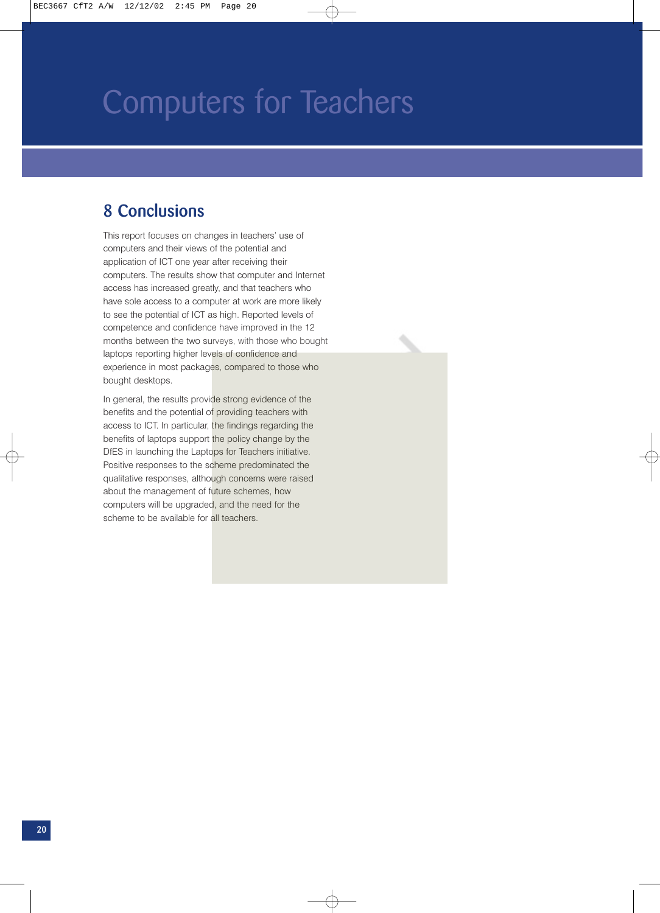### **8 Conclusions**

This report focuses on changes in teachers' use of computers and their views of the potential and application of ICT one year after receiving their computers. The results show that computer and Internet access has increased greatly, and that teachers who have sole access to a computer at work are more likely to see the potential of ICT as high. Reported levels of competence and confidence have improved in the 12 months between the two surveys, with those who bought laptops reporting higher levels of confidence and experience in most packages, compared to those who bought desktops.

In general, the results provide strong evidence of the benefits and the potential of providing teachers with access to ICT. In particular, the findings regarding the benefits of laptops support the policy change by the DfES in launching the Laptops for Teachers initiative. Positive responses to the scheme predominated the qualitative responses, although concerns were raised about the management of future schemes, how computers will be upgraded, and the need for the scheme to be available for all teachers.

€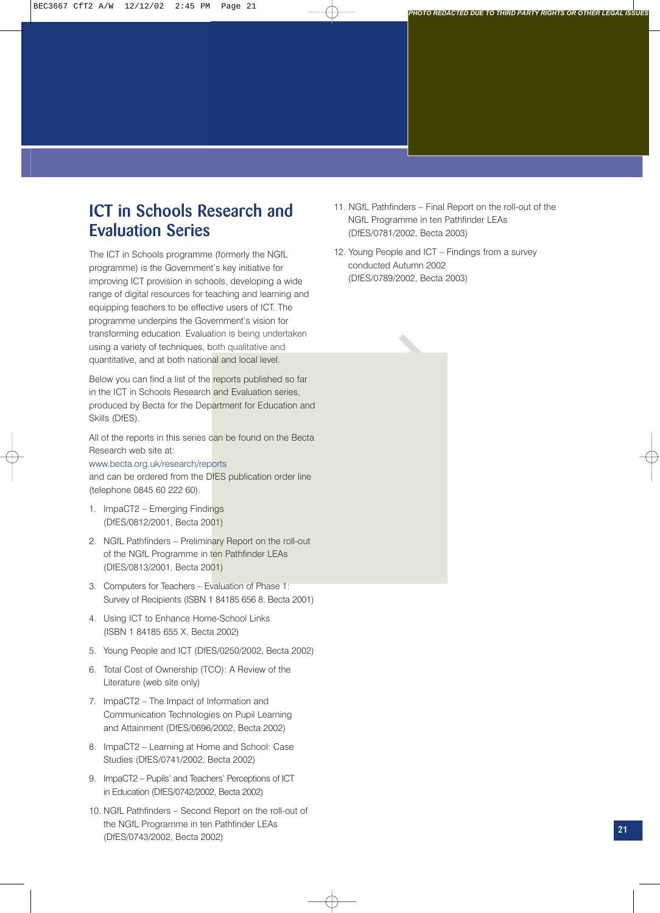### **ICT in Schools Research and Evaluation Series**

The ICT in Schools programme (formerly the NGfL programme) is the Government's key initiative for improving ICT provision in schools, developing a wide range of digital resources for teaching and learning and equipping teachers to be effective users of ICT. The programme underpins the Government's vision for transforming education. Evaluation is being undertaken using a variety of techniques, both qualitative and quantitative, and at both national and local level.

Below you can find a list of the reports published so far in the ICT in Schools Research and Evaluation series, produced by Becta for the Department for Education and Skills (DfES).

All of the reports in this series can be found on the Becta Research web site at:

#### www.becta.org.uk/research/reports

and can be ordered from the DfES publication order line (telephone 0845 60 222 60).

- 1. ImpaCT2 Emerging Findings (DfES/0812/2001, Becta 2001)
- 2. NGfL Pathfinders Preliminary Report on the roll-out of the NGfL Programme in ten Pathfinder LEAs (DfES/0813/2001, Becta 2001)
- 3. Computers for Teachers Evaluation of Phase 1: Survey of Recipients (ISBN 1 84185 656 8, Becta 2001)
- 4. Using ICT to Enhance Home-School Links (ISBN 1 84185 655 X, Becta 2002)
- 5. Young People and ICT (DfES/0250/2002, Becta 2002)
- 6. Total Cost of Ownership (TCO): A Review of the Literature (web site only)
- 7. ImpaCT2 The Impact of Information and Communication Technologies on Pupil Learning and Attainment (DfES/0696/2002, Becta 2002)
- 8. ImpaCT2 Learning at Home and School: Case Studies (DfES/0741/2002, Becta 2002)
- 9. ImpaCT2 Pupils' and Teachers' Perceptions of ICT in Education (DfES/0742/2002, Becta 2002)
- 10. NGfL Pathfinders Second Report on the roll-out of the NGfL Programme in ten Pathfinder LEAs (DfES/0743/2002, Becta 2002)

11. NGfL Pathfinders – Final Report on the roll-out of the NGfL Programme in ten Pathfinder LEAs (DfES/0781/2002, Becta 2003)

*PHOTO REDACTED DUE TO THIRD PARTY RIGHTS OR OTHER LEGAL ISSUES*

12. Young People and ICT – Findings from a survey conducted Autumn 2002 (DfES/0789/2002, Becta 2003)